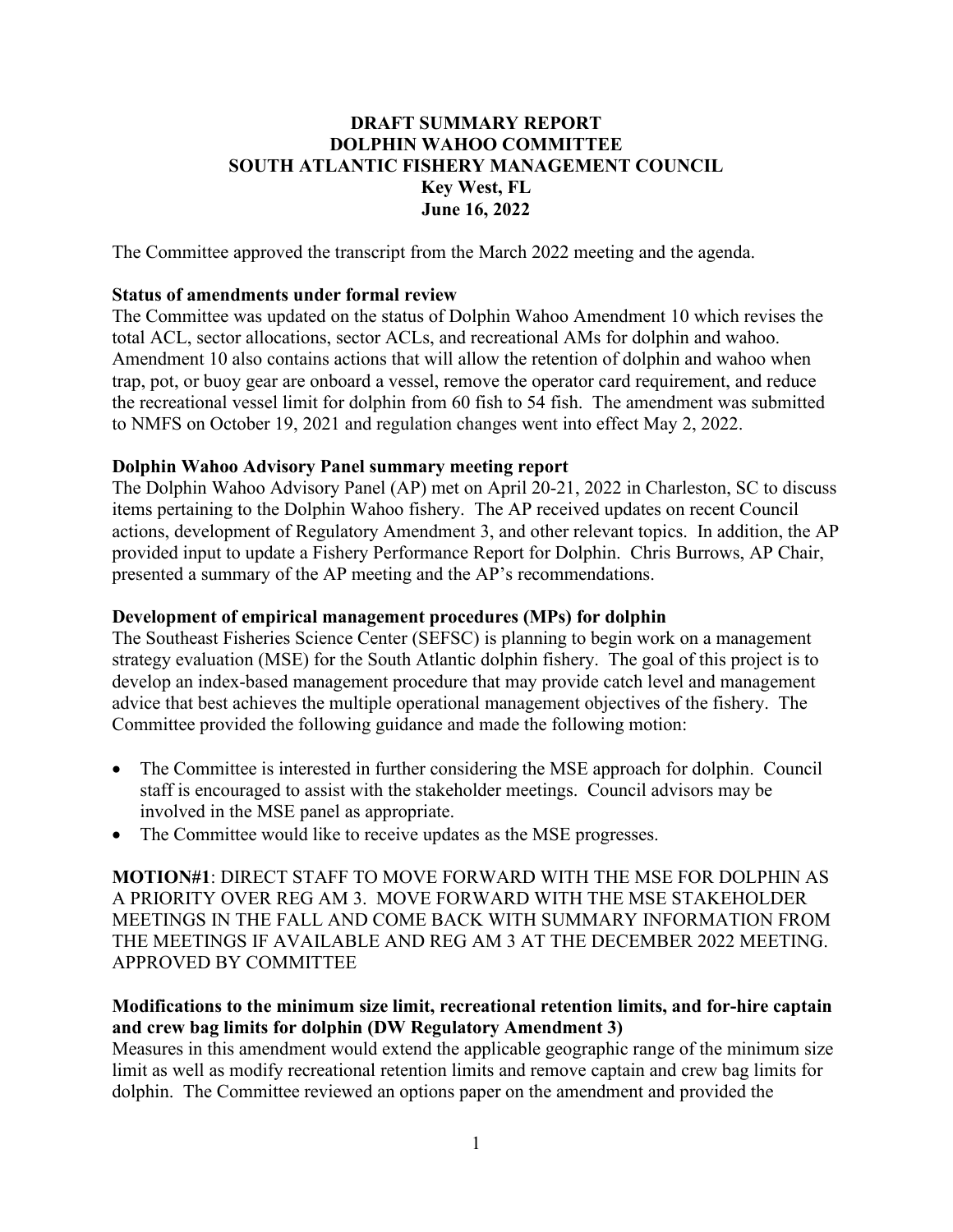### **DRAFT SUMMARY REPORT DOLPHIN WAHOO COMMITTEE SOUTH ATLANTIC FISHERY MANAGEMENT COUNCIL Key West, FL June 16, 2022**

The Committee approved the transcript from the March 2022 meeting and the agenda.

#### **Status of amendments under formal review**

The Committee was updated on the status of Dolphin Wahoo Amendment 10 which revises the total ACL, sector allocations, sector ACLs, and recreational AMs for dolphin and wahoo. Amendment 10 also contains actions that will allow the retention of dolphin and wahoo when trap, pot, or buoy gear are onboard a vessel, remove the operator card requirement, and reduce the recreational vessel limit for dolphin from 60 fish to 54 fish. The amendment was submitted to NMFS on October 19, 2021 and regulation changes went into effect May 2, 2022.

#### **Dolphin Wahoo Advisory Panel summary meeting report**

The Dolphin Wahoo Advisory Panel (AP) met on April 20-21, 2022 in Charleston, SC to discuss items pertaining to the Dolphin Wahoo fishery. The AP received updates on recent Council actions, development of Regulatory Amendment 3, and other relevant topics. In addition, the AP provided input to update a Fishery Performance Report for Dolphin. Chris Burrows, AP Chair, presented a summary of the AP meeting and the AP's recommendations.

#### **Development of empirical management procedures (MPs) for dolphin**

The Southeast Fisheries Science Center (SEFSC) is planning to begin work on a management strategy evaluation (MSE) for the South Atlantic dolphin fishery. The goal of this project is to develop an index-based management procedure that may provide catch level and management advice that best achieves the multiple operational management objectives of the fishery. The Committee provided the following guidance and made the following motion:

- The Committee is interested in further considering the MSE approach for dolphin. Council staff is encouraged to assist with the stakeholder meetings. Council advisors may be involved in the MSE panel as appropriate.
- The Committee would like to receive updates as the MSE progresses.

**MOTION#1**: DIRECT STAFF TO MOVE FORWARD WITH THE MSE FOR DOLPHIN AS A PRIORITY OVER REG AM 3. MOVE FORWARD WITH THE MSE STAKEHOLDER MEETINGS IN THE FALL AND COME BACK WITH SUMMARY INFORMATION FROM THE MEETINGS IF AVAILABLE AND REG AM 3 AT THE DECEMBER 2022 MEETING. APPROVED BY COMMITTEE

#### **Modifications to the minimum size limit, recreational retention limits, and for-hire captain and crew bag limits for dolphin (DW Regulatory Amendment 3)**

Measures in this amendment would extend the applicable geographic range of the minimum size limit as well as modify recreational retention limits and remove captain and crew bag limits for dolphin. The Committee reviewed an options paper on the amendment and provided the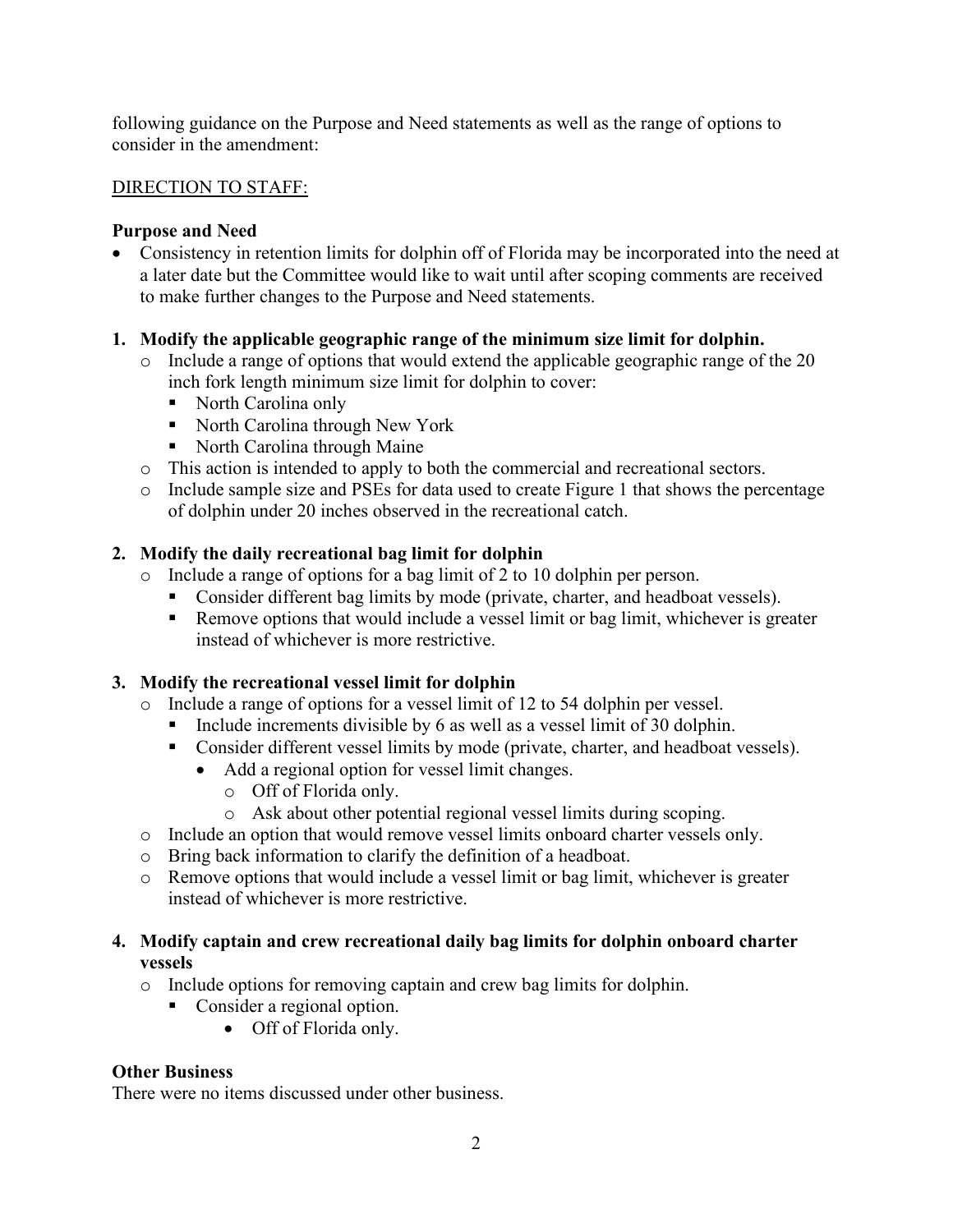following guidance on the Purpose and Need statements as well as the range of options to consider in the amendment:

#### DIRECTION TO STAFF:

### **Purpose and Need**

• Consistency in retention limits for dolphin off of Florida may be incorporated into the need at a later date but the Committee would like to wait until after scoping comments are received to make further changes to the Purpose and Need statements.

## **1. Modify the applicable geographic range of the minimum size limit for dolphin.**

- o Include a range of options that would extend the applicable geographic range of the 20 inch fork length minimum size limit for dolphin to cover:
	- North Carolina only
	- North Carolina through New York
	- North Carolina through Maine
- o This action is intended to apply to both the commercial and recreational sectors.
- o Include sample size and PSEs for data used to create Figure 1 that shows the percentage of dolphin under 20 inches observed in the recreational catch.

## **2. Modify the daily recreational bag limit for dolphin**

- o Include a range of options for a bag limit of 2 to 10 dolphin per person.
	- **Consider different bag limits by mode (private, charter, and headboat vessels).**
	- Remove options that would include a vessel limit or bag limit, whichever is greater instead of whichever is more restrictive.

# **3. Modify the recreational vessel limit for dolphin**

- o Include a range of options for a vessel limit of 12 to 54 dolphin per vessel.
	- Include increments divisible by 6 as well as a vessel limit of 30 dolphin.
	- **Consider different vessel limits by mode (private, charter, and headboat vessels).** 
		- Add a regional option for vessel limit changes.
			- o Off of Florida only.
			- o Ask about other potential regional vessel limits during scoping.
- o Include an option that would remove vessel limits onboard charter vessels only.
- o Bring back information to clarify the definition of a headboat.
- o Remove options that would include a vessel limit or bag limit, whichever is greater instead of whichever is more restrictive.

## **4. Modify captain and crew recreational daily bag limits for dolphin onboard charter vessels**

- o Include options for removing captain and crew bag limits for dolphin.
	- **Consider a regional option.** 
		- Off of Florida only.

# **Other Business**

There were no items discussed under other business.